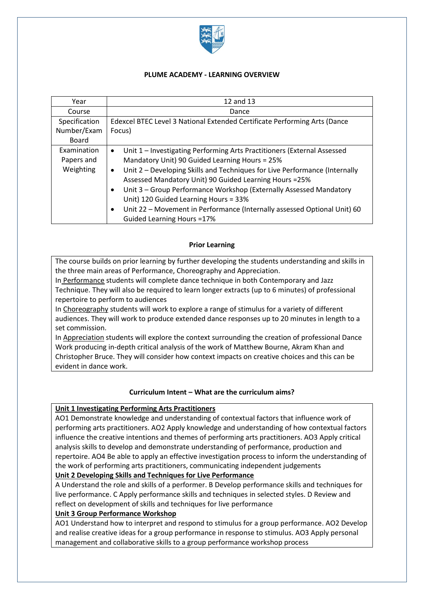

## **PLUME ACADEMY - LEARNING OVERVIEW**

| Year                                   | 12 and 13                                                                                                                                                                                                                                                                                                                                                                                                                                                                                                                                        |  |  |  |
|----------------------------------------|--------------------------------------------------------------------------------------------------------------------------------------------------------------------------------------------------------------------------------------------------------------------------------------------------------------------------------------------------------------------------------------------------------------------------------------------------------------------------------------------------------------------------------------------------|--|--|--|
| Course                                 | Dance                                                                                                                                                                                                                                                                                                                                                                                                                                                                                                                                            |  |  |  |
| Specification                          | Edexcel BTEC Level 3 National Extended Certificate Performing Arts (Dance                                                                                                                                                                                                                                                                                                                                                                                                                                                                        |  |  |  |
| Number/Exam                            | Focus)                                                                                                                                                                                                                                                                                                                                                                                                                                                                                                                                           |  |  |  |
| Board                                  |                                                                                                                                                                                                                                                                                                                                                                                                                                                                                                                                                  |  |  |  |
| Examination<br>Papers and<br>Weighting | Unit 1 - Investigating Performing Arts Practitioners (External Assessed<br>$\bullet$<br>Mandatory Unit) 90 Guided Learning Hours = 25%<br>Unit 2 - Developing Skills and Techniques for Live Performance (Internally<br>$\bullet$<br>Assessed Mandatory Unit) 90 Guided Learning Hours = 25%<br>Unit 3 - Group Performance Workshop (Externally Assessed Mandatory<br>$\bullet$<br>Unit) 120 Guided Learning Hours = 33%<br>Unit 22 - Movement in Performance (Internally assessed Optional Unit) 60<br>$\bullet$<br>Guided Learning Hours = 17% |  |  |  |

## **Prior Learning**

The course builds on prior learning by further developing the students understanding and skills in the three main areas of Performance, Choreography and Appreciation.

In Performance students will complete dance technique in both Contemporary and Jazz Technique. They will also be required to learn longer extracts (up to 6 minutes) of professional repertoire to perform to audiences

In Choreography students will work to explore a range of stimulus for a variety of different audiences. They will work to produce extended dance responses up to 20 minutes in length to a set commission.

In Appreciation students will explore the context surrounding the creation of professional Dance Work producing in-depth critical analysis of the work of Matthew Bourne, Akram Khan and Christopher Bruce. They will consider how context impacts on creative choices and this can be evident in dance work.

## **Curriculum Intent – What are the curriculum aims?**

## **Unit 1 Investigating Performing Arts Practitioners**

AO1 Demonstrate knowledge and understanding of contextual factors that influence work of performing arts practitioners. AO2 Apply knowledge and understanding of how contextual factors influence the creative intentions and themes of performing arts practitioners. AO3 Apply critical analysis skills to develop and demonstrate understanding of performance, production and repertoire. AO4 Be able to apply an effective investigation process to inform the understanding of the work of performing arts practitioners, communicating independent judgements

# **Unit 2 Developing Skills and Techniques for Live Performance**

A Understand the role and skills of a performer. B Develop performance skills and techniques for live performance. C Apply performance skills and techniques in selected styles. D Review and reflect on development of skills and techniques for live performance

# **Unit 3 Group Performance Workshop**

AO1 Understand how to interpret and respond to stimulus for a group performance. AO2 Develop and realise creative ideas for a group performance in response to stimulus. AO3 Apply personal management and collaborative skills to a group performance workshop process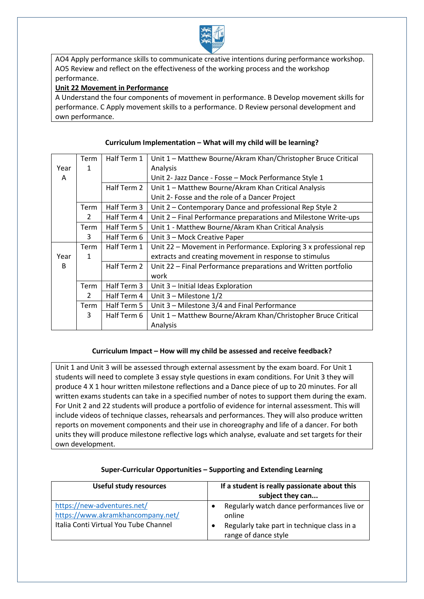

AO4 Apply performance skills to communicate creative intentions during performance workshop. AO5 Review and reflect on the effectiveness of the working process and the workshop performance.

# **Unit 22 Movement in Performance**

A Understand the four components of movement in performance. B Develop movement skills for performance. C Apply movement skills to a performance. D Review personal development and own performance.

|      | Term          | Half Term 1 | Unit 1 - Matthew Bourne/Akram Khan/Christopher Bruce Critical     |
|------|---------------|-------------|-------------------------------------------------------------------|
| Year | 1             |             | Analysis                                                          |
| A    |               |             | Unit 2- Jazz Dance - Fosse - Mock Performance Style 1             |
|      |               | Half Term 2 | Unit 1 - Matthew Bourne/Akram Khan Critical Analysis              |
|      |               |             | Unit 2- Fosse and the role of a Dancer Project                    |
|      | Term          | Half Term 3 | Unit 2 - Contemporary Dance and professional Rep Style 2          |
|      | 2             | Half Term 4 | Unit 2 – Final Performance preparations and Milestone Write-ups   |
|      | Term          | Half Term 5 | Unit 1 - Matthew Bourne/Akram Khan Critical Analysis              |
|      | 3             | Half Term 6 | Unit 3 - Mock Creative Paper                                      |
|      | Term          | Half Term 1 | Unit 22 – Movement in Performance. Exploring 3 x professional rep |
| Year | 1             |             | extracts and creating movement in response to stimulus            |
| B    |               | Half Term 2 | Unit 22 - Final Performance preparations and Written portfolio    |
|      |               |             | work                                                              |
|      | Term          | Half Term 3 | Unit 3 - Initial Ideas Exploration                                |
|      | $\mathcal{P}$ | Half Term 4 | Unit $3$ – Milestone $1/2$                                        |
|      | <b>Term</b>   | Half Term 5 | Unit 3 – Milestone 3/4 and Final Performance                      |
|      | 3             | Half Term 6 | Unit 1 - Matthew Bourne/Akram Khan/Christopher Bruce Critical     |
|      |               |             | Analysis                                                          |

## **Curriculum Implementation – What will my child will be learning?**

## **Curriculum Impact – How will my child be assessed and receive feedback?**

Unit 1 and Unit 3 will be assessed through external assessment by the exam board. For Unit 1 students will need to complete 3 essay style questions in exam conditions. For Unit 3 they will produce 4 X 1 hour written milestone reflections and a Dance piece of up to 20 minutes. For all written exams students can take in a specified number of notes to support them during the exam. For Unit 2 and 22 students will produce a portfolio of evidence for internal assessment. This will include videos of technique classes, rehearsals and performances. They will also produce written reports on movement components and their use in choreography and life of a dancer. For both units they will produce milestone reflective logs which analyse, evaluate and set targets for their own development.

#### **Useful study resources If a student is really passionate about this subject they can...** <https://new-adventures.net/> <https://www.akramkhancompany.net/> Italia Conti Virtual You Tube Channel Regularly watch dance performances live or online • Regularly take part in technique class in a range of dance style

## **Super-Curricular Opportunities – Supporting and Extending Learning**